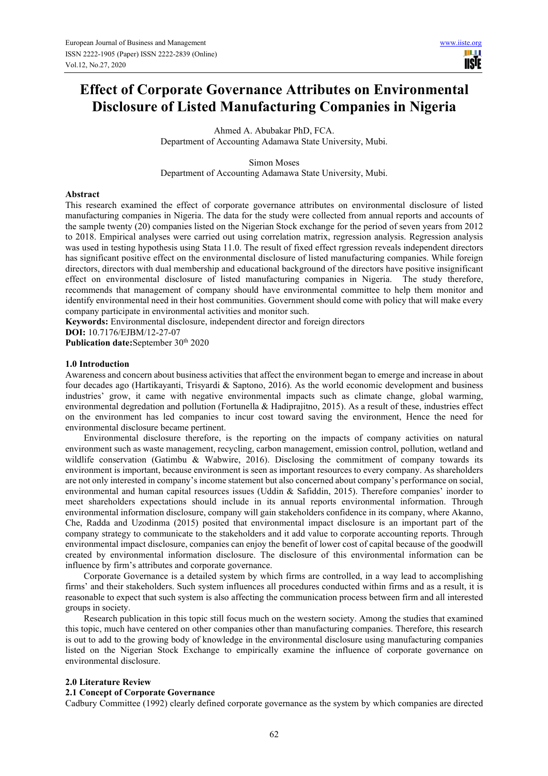# **Effect of Corporate Governance Attributes on Environmental Disclosure of Listed Manufacturing Companies in Nigeria**

Ahmed A. Abubakar PhD, FCA. Department of Accounting Adamawa State University, Mubi.

Simon Moses Department of Accounting Adamawa State University, Mubi.

### **Abstract**

This research examined the effect of corporate governance attributes on environmental disclosure of listed manufacturing companies in Nigeria. The data for the study were collected from annual reports and accounts of the sample twenty (20) companies listed on the Nigerian Stock exchange for the period of seven years from 2012 to 2018. Empirical analyses were carried out using correlation matrix, regression analysis. Regression analysis was used in testing hypothesis using Stata 11.0. The result of fixed effect rgression reveals independent directors has significant positive effect on the environmental disclosure of listed manufacturing companies. While foreign directors, directors with dual membership and educational background of the directors have positive insignificant effect on environmental disclosure of listed manufacturing companies in Nigeria. The study therefore, recommends that management of company should have environmental committee to help them monitor and identify environmental need in their host communities. Government should come with policy that will make every company participate in environmental activities and monitor such.

**Keywords:** Environmental disclosure, independent director and foreign directors

**DOI:** 10.7176/EJBM/12-27-07

Publication date:September 30<sup>th</sup> 2020

### **1.0 Introduction**

Awareness and concern about business activities that affect the environment began to emerge and increase in about four decades ago (Hartikayanti, Trisyardi & Saptono, 2016). As the world economic development and business industries' grow, it came with negative environmental impacts such as climate change, global warming, environmental degredation and pollution (Fortunella & Hadiprajitno, 2015). As a result of these, industries effect on the environment has led companies to incur cost toward saving the environment, Hence the need for environmental disclosure became pertinent.

Environmental disclosure therefore, is the reporting on the impacts of company activities on natural environment such as waste management, recycling, carbon management, emission control, pollution, wetland and wildlife conservation (Gatimbu & Wabwire, 2016). Disclosing the commitment of company towards its environment is important, because environment is seen as important resources to every company. As shareholders are not only interested in company's income statement but also concerned about company's performance on social, environmental and human capital resources issues (Uddin & Safiddin, 2015). Therefore companies' inorder to meet shareholders expectations should include in its annual reports environmental information. Through environmental information disclosure, company will gain stakeholders confidence in its company, where Akanno, Che, Radda and Uzodinma (2015) posited that environmental impact disclosure is an important part of the company strategy to communicate to the stakeholders and it add value to corporate accounting reports. Through environmental impact disclosure, companies can enjoy the benefit of lower cost of capital because of the goodwill created by environmental information disclosure. The disclosure of this environmental information can be influence by firm's attributes and corporate governance.

Corporate Governance is a detailed system by which firms are controlled, in a way lead to accomplishing firms' and their stakeholders. Such system influences all procedures conducted within firms and as a result, it is reasonable to expect that such system is also affecting the communication process between firm and all interested groups in society.

Research publication in this topic still focus much on the western society. Among the studies that examined this topic, much have centered on other companies other than manufacturing companies. Therefore, this research is out to add to the growing body of knowledge in the environmental disclosure using manufacturing companies listed on the Nigerian Stock Exchange to empirically examine the influence of corporate governance on environmental disclosure.

## **2.0 Literature Review**

#### **2.1 Concept of Corporate Governance**

Cadbury Committee (1992) clearly defined corporate governance as the system by which companies are directed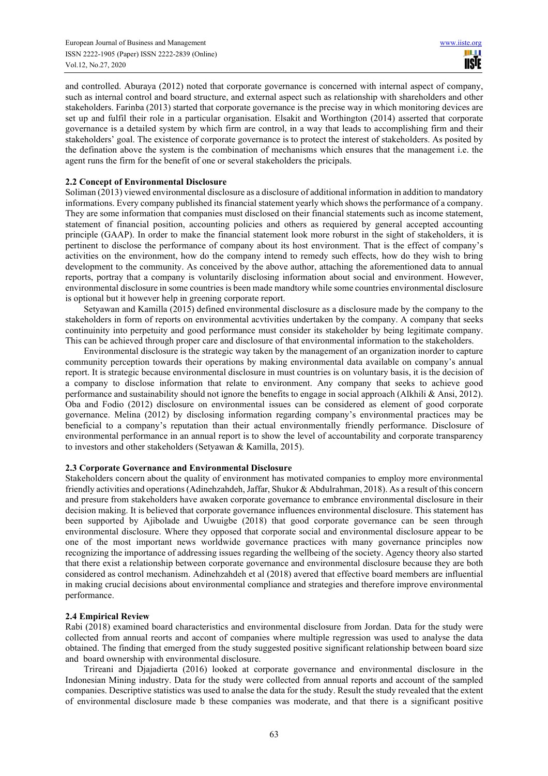and controlled. Aburaya (2012) noted that corporate governance is concerned with internal aspect of company, such as internal control and board structure, and external aspect such as relationship with shareholders and other stakeholders. Farinba (2013) started that corporate governance is the precise way in which monitoring devices are set up and fulfil their role in a particular organisation. Elsakit and Worthington (2014) asserted that corporate governance is a detailed system by which firm are control, in a way that leads to accomplishing firm and their stakeholders' goal. The existence of corporate governance is to protect the interest of stakeholders. As posited by the defination above the system is the combination of mechanisms which ensures that the management i.e. the agent runs the firm for the benefit of one or several stakeholders the pricipals.

## **2.2 Concept of Environmental Disclosure**

Soliman (2013) viewed environmental disclosure as a disclosure of additional information in addition to mandatory informations. Every company published its financial statement yearly which shows the performance of a company. They are some information that companies must disclosed on their financial statements such as income statement, statement of financial position, accounting policies and others as requiered by general accepted accounting principle (GAAP). In order to make the financial statement look more roburst in the sight of stakeholders, it is pertinent to disclose the performance of company about its host environment. That is the effect of company's activities on the environment, how do the company intend to remedy such effects, how do they wish to bring development to the community. As conceived by the above author, attaching the aforementioned data to annual reports, portray that a company is voluntarily disclosing information about social and environment. However, environmental disclosure in some countries is been made mandtory while some countries environmental disclosure is optional but it however help in greening corporate report.

Setyawan and Kamilla (2015) defined environmental disclosure as a disclosure made by the company to the stakeholders in form of reports on environmental acvtivities undertaken by the company. A company that seeks continuinity into perpetuity and good performance must consider its stakeholder by being legitimate company. This can be achieved through proper care and disclosure of that environmental information to the stakeholders.

Environmental disclosure is the strategic way taken by the management of an organization inorder to capture community perception towards their operations by making environmental data available on company's annual report. It is strategic because environmental disclosure in must countries is on voluntary basis, it is the decision of a company to disclose information that relate to environment. Any company that seeks to achieve good performance and sustainability should not ignore the benefits to engage in social approach (Alkhili & Ansi, 2012). Oba and Fodio (2012) disclosure on environmental issues can be considered as element of good corporate governance. Melina (2012) by disclosing information regarding company's environmental practices may be beneficial to a company's reputation than their actual environmentally friendly performance. Disclosure of environmental performance in an annual report is to show the level of accountability and corporate transparency to investors and other stakeholders (Setyawan & Kamilla, 2015).

## **2.3 Corporate Governance and Environmental Disclosure**

Stakeholders concern about the quality of environment has motivated companies to employ more environmental friendly activities and operations (Adinehzahdeh, Jaffar, Shukor & Abdulrahman, 2018). As a result of this concern and presure from stakeholders have awaken corporate governance to embrance environmental disclosure in their decision making. It is believed that corporate governance influences environmental disclosure. This statement has been supported by Ajibolade and Uwuigbe (2018) that good corporate governance can be seen through environmental disclosure. Where they opposed that corporate social and environmental disclosure appear to be one of the most important news worldwide governance practices with many governance principles now recognizing the importance of addressing issues regarding the wellbeing of the society. Agency theory also started that there exist a relationship between corporate governance and environmental disclosure because they are both considered as control mechanism. Adinehzahdeh et al (2018) avered that effective board members are influential in making crucial decisions about environmental compliance and strategies and therefore improve environmental performance.

## **2.4 Empirical Review**

Rabi (2018) examined board characteristics and environmental disclosure from Jordan. Data for the study were collected from annual reorts and accont of companies where multiple regression was used to analyse the data obtained. The finding that emerged from the study suggested positive significant relationship between board size and board ownership with environmental disclosure.

Trireani and Djajadierta (2016) looked at corporate governance and environmental disclosure in the Indonesian Mining industry. Data for the study were collected from annual reports and account of the sampled companies. Descriptive statistics was used to analse the data for the study. Result the study revealed that the extent of environmental disclosure made b these companies was moderate, and that there is a significant positive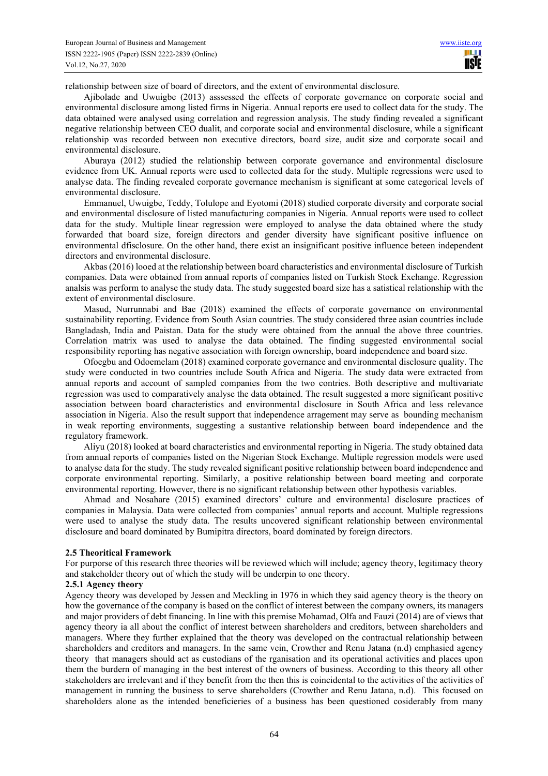relationship between size of board of directors, and the extent of environmental disclosure.

Ajibolade and Uwuigbe (2013) asssessed the effects of corporate governance on corporate social and environmental disclosure among listed firms in Nigeria. Annual reports ere used to collect data for the study. The data obtained were analysed using correlation and regression analysis. The study finding revealed a significant negative relationship between CEO dualit, and corporate social and environmental disclosure, while a significant relationship was recorded between non executive directors, board size, audit size and corporate socail and environmental disclosure.

Aburaya (2012) studied the relationship between corporate governance and environmental disclosure evidence from UK. Annual reports were used to collected data for the study. Multiple regressions were used to analyse data. The finding revealed corporate governance mechanism is significant at some categorical levels of environmental disclosure.

Emmanuel, Uwuigbe, Teddy, Tolulope and Eyotomi (2018) studied corporate diversity and corporate social and environmental disclosure of listed manufacturing companies in Nigeria. Annual reports were used to collect data for the study. Multiple linear regression were employed to analyse the data obtained where the study forwarded that board size, foreign directors and gender diversity have significant positive influence on environmental dfisclosure. On the other hand, there exist an insignificant positive influence beteen independent directors and environmental disclosure.

Akbas (2016) looed at the relationship between board characteristics and environmental disclosure of Turkish companies. Data were obtained from annual reports of companies listed on Turkish Stock Exchange. Regression analsis was perform to analyse the study data. The study suggested board size has a satistical relationship with the extent of environmental disclosure.

Masud, Nurrunnabi and Bae (2018) examined the effects of corporate governance on environmental sustainability reporting. Evidence from South Asian countries. The study considered three asian countries include Bangladash, India and Paistan. Data for the study were obtained from the annual the above three countries. Correlation matrix was used to analyse the data obtained. The finding suggested environmental social responsibility reporting has negative association with foreign ownership, board independence and board size.

Ofoegbu and Odoemelam (2018) examined corporate governance and environmental disclosure quality. The study were conducted in two countries include South Africa and Nigeria. The study data were extracted from annual reports and account of sampled companies from the two contries. Both descriptive and multivariate regression was used to comparatively analyse the data obtained. The result suggested a more significant positive association between board characteristics and environmental disclosure in South Africa and less relevance association in Nigeria. Also the result support that independence arragement may serve as bounding mechanism in weak reporting environments, suggesting a sustantive relationship between board independence and the regulatory framework.

Aliyu (2018) looked at board characteristics and environmental reporting in Nigeria. The study obtained data from annual reports of companies listed on the Nigerian Stock Exchange. Multiple regression models were used to analyse data for the study. The study revealed significant positive relationship between board independence and corporate environmental reporting. Similarly, a positive relationship between board meeting and corporate environmental reporting. However, there is no significant relationship between other hypothesis variables.

Ahmad and Nosahare (2015) examined directors' culture and environmental disclosure practices of companies in Malaysia. Data were collected from companies' annual reports and account. Multiple regressions were used to analyse the study data. The results uncovered significant relationship between environmental disclosure and board dominated by Bumipitra directors, board dominated by foreign directors.

#### **2.5 Theoritical Framework**

For purporse of this research three theories will be reviewed which will include; agency theory, legitimacy theory and stakeholder theory out of which the study will be underpin to one theory.

#### **2.5.1 Agency theory**

Agency theory was developed by Jessen and Meckling in 1976 in which they said agency theory is the theory on how the governance of the company is based on the conflict of interest between the company owners, its managers and major providers of debt financing. In line with this premise Mohamad, Olfa and Fauzi (2014) are of views that agency theory ia all about the conflict of interest between shareholders and creditors, between shareholders and managers. Where they further explained that the theory was developed on the contractual relationship between shareholders and creditors and managers. In the same vein, Crowther and Renu Jatana (n.d) emphasied agency theory that managers should act as custodians of the rganisation and its operational activities and places upon them the burdern of managing in the best interest of the owners of business. According to this theory all other stakeholders are irrelevant and if they benefit from the then this is coincidental to the activities of the activities of management in running the business to serve shareholders (Crowther and Renu Jatana, n.d). This focused on shareholders alone as the intended beneficieries of a business has been questioned cosiderably from many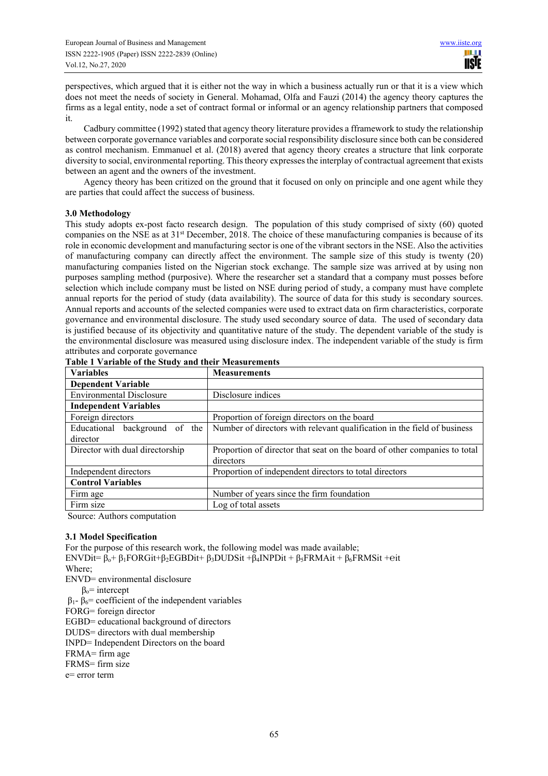perspectives, which argued that it is either not the way in which a business actually run or that it is a view which does not meet the needs of society in General. Mohamad, Olfa and Fauzi (2014) the agency theory captures the firms as a legal entity, node a set of contract formal or informal or an agency relationship partners that composed it.

Cadbury committee (1992) stated that agency theory literature provides a fframework to study the relationship between corporate governance variables and corporate social responsibility disclosure since both can be considered as control mechanism. Emmanuel et al. (2018) avered that agency theory creates a structure that link corporate diversity to social, environmental reporting. This theory expresses the interplay of contractual agreement that exists between an agent and the owners of the investment.

Agency theory has been critized on the ground that it focused on only on principle and one agent while they are parties that could affect the success of business.

## **3.0 Methodology**

This study adopts ex-post facto research design. The population of this study comprised of sixty (60) quoted companies on the NSE as at 31<sup>st</sup> December, 2018. The choice of these manufacturing companies is because of its role in economic development and manufacturing sector is one of the vibrant sectors in the NSE. Also the activities of manufacturing company can directly affect the environment. The sample size of this study is twenty (20) manufacturing companies listed on the Nigerian stock exchange. The sample size was arrived at by using non purposes sampling method (purposive). Where the researcher set a standard that a company must posses before selection which include company must be listed on NSE during period of study, a company must have complete annual reports for the period of study (data availability). The source of data for this study is secondary sources. Annual reports and accounts of the selected companies were used to extract data on firm characteristics, corporate governance and environmental disclosure. The study used secondary source of data. The used of secondary data is justified because of its objectivity and quantitative nature of the study. The dependent variable of the study is the environmental disclosure was measured using disclosure index. The independent variable of the study is firm attributes and corporate governance

| <b>Variables</b>                | <b>Measurements</b>                                                       |  |
|---------------------------------|---------------------------------------------------------------------------|--|
| <b>Dependent Variable</b>       |                                                                           |  |
| <b>Environmental Disclosure</b> | Disclosure indices                                                        |  |
| <b>Independent Variables</b>    |                                                                           |  |
| Foreign directors               | Proportion of foreign directors on the board                              |  |
| Educational background of the   | Number of directors with relevant qualification in the field of business  |  |
| director                        |                                                                           |  |
| Director with dual directorship | Proportion of director that seat on the board of other companies to total |  |
|                                 | directors                                                                 |  |
| Independent directors           | Proportion of independent directors to total directors                    |  |
| <b>Control Variables</b>        |                                                                           |  |
| Firm age                        | Number of years since the firm foundation                                 |  |
| Firm size                       | Log of total assets                                                       |  |

|  | Table 1 Variable of the Study and their Measurements |
|--|------------------------------------------------------|

Source: Authors computation

## **3.1 Model Specification**

For the purpose of this research work, the following model was made available; ENVDit= βo+ β1FORGit+β2EGBDit+ β3DUDSit +β4INPDit + β5FRMAit + β6FRMSit +℮it Where; ENVD= environmental disclosure  $β<sub>o</sub>$ = intercept  $β_1 - β_6$ = coefficient of the independent variables FORG= foreign director EGBD= educational background of directors DUDS= directors with dual membership INPD= Independent Directors on the board FRMA= firm age FRMS= firm size

e= error term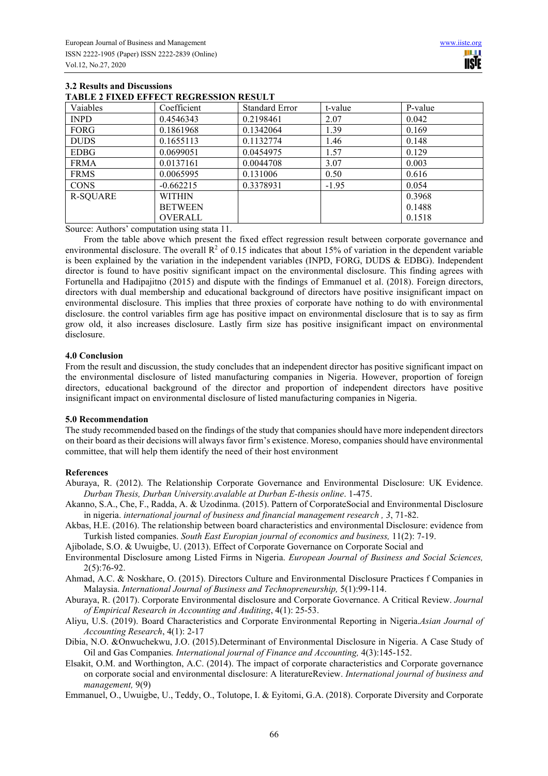| Vaiables    | Coefficient    | <b>Standard Error</b> | t-value | P-value |
|-------------|----------------|-----------------------|---------|---------|
| <b>INPD</b> | 0.4546343      | 0.2198461             | 2.07    | 0.042   |
| <b>FORG</b> | 0.1861968      | 0.1342064             | 1.39    | 0.169   |
| <b>DUDS</b> | 0.1655113      | 0.1132774             | 1.46    | 0.148   |
| <b>EDBG</b> | 0.0699051      | 0.0454975             | 1.57    | 0.129   |
| <b>FRMA</b> | 0.0137161      | 0.0044708             | 3.07    | 0.003   |
| <b>FRMS</b> | 0.0065995      | 0.131006              | 0.50    | 0.616   |
| <b>CONS</b> | $-0.662215$    | 0.3378931             | $-1.95$ | 0.054   |
| R-SQUARE    | <b>WITHIN</b>  |                       |         | 0.3968  |
|             | <b>BETWEEN</b> |                       |         | 0.1488  |
|             | <b>OVERALL</b> |                       |         | 0.1518  |

## **3.2 Results and Discussions TABLE 2 FIXED EFFECT REGRESSION RESULT**

Source: Authors' computation using stata 11.

From the table above which present the fixed effect regression result between corporate governance and environmental disclosure. The overall  $\mathbb{R}^2$  of 0.15 indicates that about 15% of variation in the dependent variable is been explained by the variation in the independent variables (INPD, FORG, DUDS & EDBG). Independent director is found to have positiv significant impact on the environmental disclosure. This finding agrees with Fortunella and Hadipajitno (2015) and dispute with the findings of Emmanuel et al. (2018). Foreign directors, directors with dual membership and educational background of directors have positive insignificant impact on environmental disclosure. This implies that three proxies of corporate have nothing to do with environmental disclosure. the control variables firm age has positive impact on environmental disclosure that is to say as firm grow old, it also increases disclosure. Lastly firm size has positive insignificant impact on environmental disclosure.

### **4.0 Conclusion**

From the result and discussion, the study concludes that an independent director has positive significant impact on the environmental disclosure of listed manufacturing companies in Nigeria. However, proportion of foreign directors, educational background of the director and proportion of independent directors have positive insignificant impact on environmental disclosure of listed manufacturing companies in Nigeria.

#### **5.0 Recommendation**

The study recommended based on the findings of the study that companies should have more independent directors on their board as their decisions will always favor firm's existence. Moreso, companies should have environmental committee, that will help them identify the need of their host environment

## **References**

- Aburaya, R. (2012). The Relationship Corporate Governance and Environmental Disclosure: UK Evidence. *Durban Thesis, Durban University.avalable at Durban E-thesis online*. 1-475.
- Akanno, S.A., Che, F., Radda, A. & Uzodinma. (2015). Pattern of CorporateSocial and Environmental Disclosure in nigeria. *international journal of business and financial management research , 3*, 71-82.
- Akbas, H.E. (2016). The relationship between board characteristics and environmental Disclosure: evidence from Turkish listed companies. *South East Europian journal of economics and business,* 11(2): 7-19.
- Ajibolade, S.O. & Uwuigbe, U. (2013). Effect of Corporate Governance on Corporate Social and
- Environmental Disclosure among Listed Firms in Nigeria. *European Journal of Business and Social Sciences,* 2(5):76-92.
- Ahmad, A.C. & Noskhare, O. (2015). Directors Culture and Environmental Disclosure Practices f Companies in Malaysia. *International Journal of Business and Technopreneurship,* 5(1):99-114.
- Aburaya, R. (2017). Corporate Environmental disclosure and Corporate Governance. A Critical Review. *Journal of Empirical Research in Accounting and Auditing*, 4(1): 25-53.
- Aliyu, U.S. (2019). Board Characteristics and Corporate Environmental Reporting in Nigeria.*Asian Journal of Accounting Research*, 4(1): 2-17
- Dibia, N.O. &Onwuchekwu, J.O. (2015).Determinant of Environmental Disclosure in Nigeria. A Case Study of Oil and Gas Companies*. International journal of Finance and Accounting,* 4(3):145-152.
- Elsakit, O.M. and Worthington, A.C. (2014). The impact of corporate characteristics and Corporate governance on corporate social and environmental disclosure: A literatureReview. *International journal of business and management,* 9(9)
- Emmanuel, O., Uwuigbe, U., Teddy, O., Tolutope, I. & Eyitomi, G.A. (2018). Corporate Diversity and Corporate